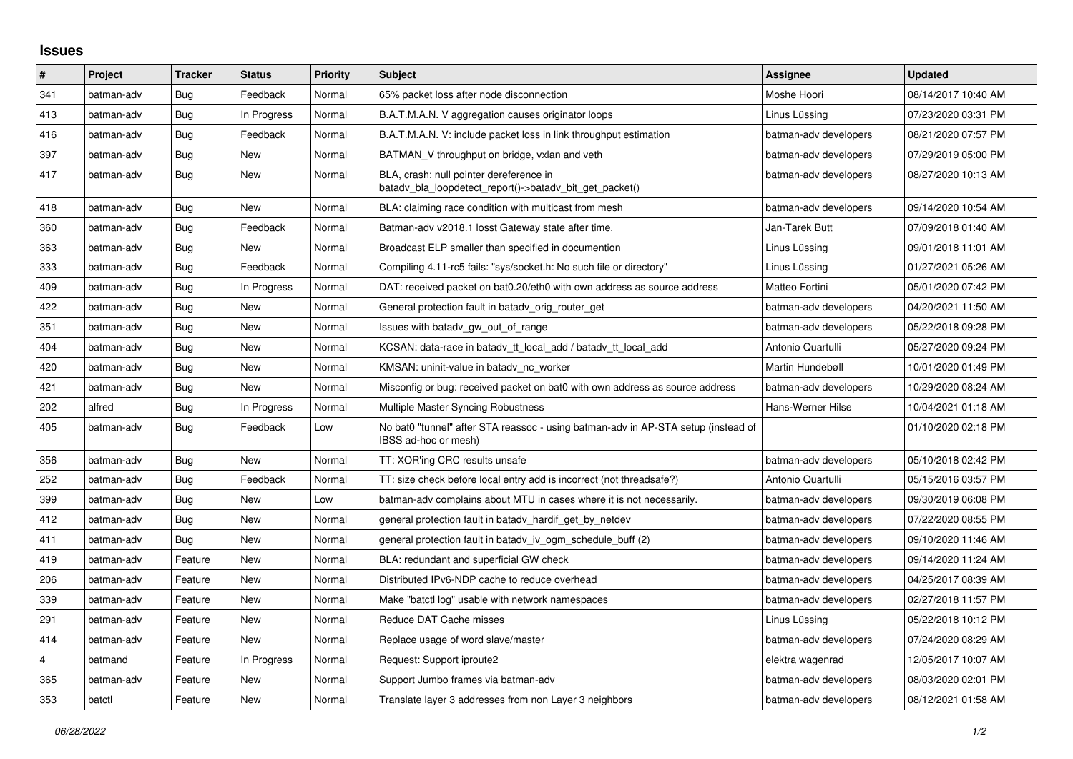## **Issues**

| $\vert$ # | Project    | <b>Tracker</b> | <b>Status</b> | <b>Priority</b> | <b>Subject</b>                                                                                            | Assignee              | <b>Updated</b>      |
|-----------|------------|----------------|---------------|-----------------|-----------------------------------------------------------------------------------------------------------|-----------------------|---------------------|
| 341       | batman-adv | Bug            | Feedback      | Normal          | 65% packet loss after node disconnection                                                                  | Moshe Hoori           | 08/14/2017 10:40 AM |
| 413       | batman-adv | Bug            | In Progress   | Normal          | B.A.T.M.A.N. V aggregation causes originator loops                                                        | Linus Lüssing         | 07/23/2020 03:31 PM |
| 416       | batman-adv | Bug            | Feedback      | Normal          | B.A.T.M.A.N. V: include packet loss in link throughput estimation                                         | batman-adv developers | 08/21/2020 07:57 PM |
| 397       | batman-adv | Bug            | New           | Normal          | BATMAN_V throughput on bridge, vxlan and veth                                                             | batman-adv developers | 07/29/2019 05:00 PM |
| 417       | batman-adv | Bug            | <b>New</b>    | Normal          | BLA, crash: null pointer dereference in<br>batady bla loopdetect report()->batady bit get packet()        | batman-adv developers | 08/27/2020 10:13 AM |
| 418       | batman-adv | Bug            | <b>New</b>    | Normal          | BLA: claiming race condition with multicast from mesh                                                     | batman-adv developers | 09/14/2020 10:54 AM |
| 360       | batman-adv | Bug            | Feedback      | Normal          | Batman-adv v2018.1 losst Gateway state after time.                                                        | Jan-Tarek Butt        | 07/09/2018 01:40 AM |
| 363       | batman-adv | Bug            | New           | Normal          | Broadcast ELP smaller than specified in documention                                                       | Linus Lüssing         | 09/01/2018 11:01 AM |
| 333       | batman-adv | Bug            | Feedback      | Normal          | Compiling 4.11-rc5 fails: "sys/socket.h: No such file or directory"                                       | Linus Lüssing         | 01/27/2021 05:26 AM |
| 409       | batman-adv | Bug            | In Progress   | Normal          | DAT: received packet on bat0.20/eth0 with own address as source address                                   | Matteo Fortini        | 05/01/2020 07:42 PM |
| 422       | batman-adv | Bug            | New           | Normal          | General protection fault in batady orig router get                                                        | batman-adv developers | 04/20/2021 11:50 AM |
| 351       | batman-adv | Bug            | <b>New</b>    | Normal          | Issues with batady gw_out_of_range                                                                        | batman-adv developers | 05/22/2018 09:28 PM |
| 404       | batman-adv | Bug            | New           | Normal          | KCSAN: data-race in batady tt local add / batady tt local add                                             | Antonio Quartulli     | 05/27/2020 09:24 PM |
| 420       | batman-adv | Bug            | New           | Normal          | KMSAN: uninit-value in batady nc worker                                                                   | Martin Hundebøll      | 10/01/2020 01:49 PM |
| 421       | batman-adv | Bug            | <b>New</b>    | Normal          | Misconfig or bug: received packet on bat0 with own address as source address                              | batman-adv developers | 10/29/2020 08:24 AM |
| 202       | alfred     | Bug            | In Progress   | Normal          | Multiple Master Syncing Robustness                                                                        | Hans-Werner Hilse     | 10/04/2021 01:18 AM |
| 405       | batman-adv | Bug            | Feedback      | Low             | No bat0 "tunnel" after STA reassoc - using batman-adv in AP-STA setup (instead of<br>IBSS ad-hoc or mesh) |                       | 01/10/2020 02:18 PM |
| 356       | batman-adv | Bug            | <b>New</b>    | Normal          | TT: XOR'ing CRC results unsafe                                                                            | batman-adv developers | 05/10/2018 02:42 PM |
| 252       | batman-adv | Bug            | Feedback      | Normal          | TT: size check before local entry add is incorrect (not threadsafe?)                                      | Antonio Quartulli     | 05/15/2016 03:57 PM |
| 399       | batman-adv | <b>Bug</b>     | New           | Low             | batman-adv complains about MTU in cases where it is not necessarily.                                      | batman-adv developers | 09/30/2019 06:08 PM |
| 412       | batman-adv | Bug            | New           | Normal          | general protection fault in batady hardif get by netdev                                                   | batman-adv developers | 07/22/2020 08:55 PM |
| 411       | batman-adv | Bug            | New           | Normal          | general protection fault in batady iv ogm_schedule_buff (2)                                               | batman-adv developers | 09/10/2020 11:46 AM |
| 419       | batman-adv | Feature        | <b>New</b>    | Normal          | BLA: redundant and superficial GW check                                                                   | batman-adv developers | 09/14/2020 11:24 AM |
| 206       | batman-adv | Feature        | New           | Normal          | Distributed IPv6-NDP cache to reduce overhead                                                             | batman-adv developers | 04/25/2017 08:39 AM |
| 339       | batman-adv | Feature        | New           | Normal          | Make "batctl log" usable with network namespaces                                                          | batman-adv developers | 02/27/2018 11:57 PM |
| 291       | batman-adv | Feature        | <b>New</b>    | Normal          | Reduce DAT Cache misses                                                                                   | Linus Lüssing         | 05/22/2018 10:12 PM |
| 414       | batman-adv | Feature        | New           | Normal          | Replace usage of word slave/master                                                                        | batman-adv developers | 07/24/2020 08:29 AM |
| 4         | batmand    | Feature        | In Progress   | Normal          | Request: Support iproute2                                                                                 | elektra wagenrad      | 12/05/2017 10:07 AM |
| 365       | batman-adv | Feature        | New           | Normal          | Support Jumbo frames via batman-adv                                                                       | batman-adv developers | 08/03/2020 02:01 PM |
| 353       | batctl     | Feature        | New           | Normal          | Translate layer 3 addresses from non Layer 3 neighbors                                                    | batman-adv developers | 08/12/2021 01:58 AM |